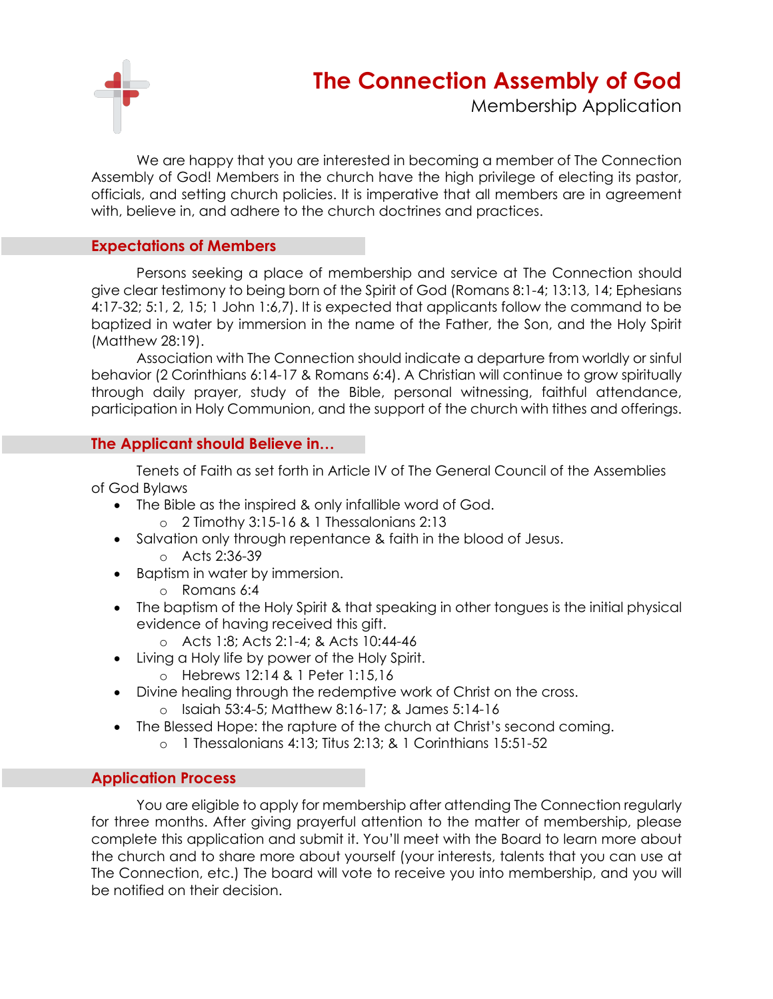

## **The Connection Assembly of God**

Membership Application

We are happy that you are interested in becoming a member of The Connection Assembly of God! Members in the church have the high privilege of electing its pastor, officials, and setting church policies. It is imperative that all members are in agreement with, believe in, and adhere to the church doctrines and practices.

#### **Expectations of Members**

Persons seeking a place of membership and service at The Connection should give clear testimony to being born of the Spirit of God (Romans 8:1-4; 13:13, 14; Ephesians 4:17-32; 5:1, 2, 15; 1 John 1:6,7). It is expected that applicants follow the command to be baptized in water by immersion in the name of the Father, the Son, and the Holy Spirit (Matthew 28:19).

Association with The Connection should indicate a departure from worldly or sinful behavior (2 Corinthians 6:14-17 & Romans 6:4). A Christian will continue to grow spiritually through daily prayer, study of the Bible, personal witnessing, faithful attendance, participation in Holy Communion, and the support of the church with tithes and offerings.

#### **The Applicant should Believe in…**

Tenets of Faith as set forth in Article IV of The General Council of the Assemblies of God Bylaws

- The Bible as the inspired & only infallible word of God.
	- o 2 Timothy 3:15-16 & 1 Thessalonians 2:13
- Salvation only through repentance & faith in the blood of Jesus.
	- o Acts 2:36-39
- Baptism in water by immersion.
	- o Romans 6:4
- The baptism of the Holy Spirit & that speaking in other tongues is the initial physical evidence of having received this gift.
	- o Acts 1:8; Acts 2:1-4; & Acts 10:44-46
- Living a Holy life by power of the Holy Spirit.
	- o Hebrews 12:14 & 1 Peter 1:15,16
- Divine healing through the redemptive work of Christ on the cross. o Isaiah 53:4-5; Matthew 8:16-17; & James 5:14-16
- The Blessed Hope: the rapture of the church at Christ's second coming.
	- o 1 Thessalonians 4:13; Titus 2:13; & 1 Corinthians 15:51-52

### **Application Process**

You are eligible to apply for membership after attending The Connection regularly for three months. After giving prayerful attention to the matter of membership, please complete this application and submit it. You'll meet with the Board to learn more about the church and to share more about yourself (your interests, talents that you can use at The Connection, etc.) The board will vote to receive you into membership, and you will be notified on their decision.